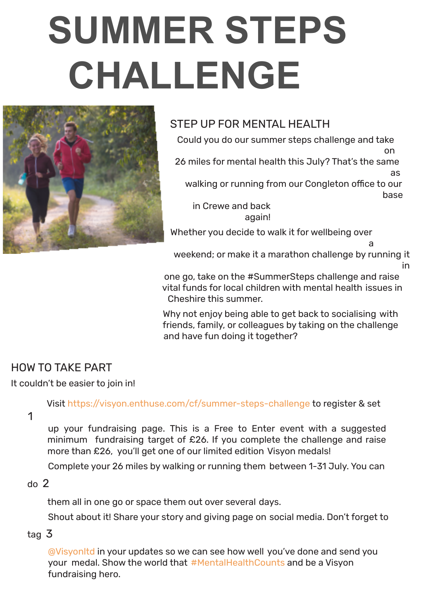# **SUMMER STEPS CHALLENGE**



## STEP UP FOR MENTAL HEALTH

Could you do our summer steps challenge and take

on 26 miles for mental health this July? That's the same as walking or running from our Congleton office to our base in Crewe and back

again!

Whether you decide to walk it for wellbeing over

weekend; or make it a marathon challenge by running it

a

in

one go, take on the #SummerSteps challenge and raise vital funds for local children with mental health issues in Cheshire this summer.

Why not enjoy being able to get back to socialising with friends, family, or colleagues by taking on the challenge and have fun doing it together?

## HOW TO TAKE PART

#### It couldn't be easier to join in!

Visit https://visyon.enthuse.com/cf/summer-steps-challenge to register & set

1

up your fundraising page. This is a Free to Enter event with a suggested minimum fundraising target of £26. If you complete the challenge and raise more than £26, you'll get one of our limited edition Visyon medals!

Complete your 26 miles by walking or running them between 1-31 July. You can

#### do 2

them all in one go or space them out over several days.

Shout about it! Share your story and giving page on social media. Don't forget to

#### tag 3

@Visyonltd in your updates so we can see how well you've done and send you your medal. Show the world that #MentalHealthCounts and be a Visyon fundraising hero.